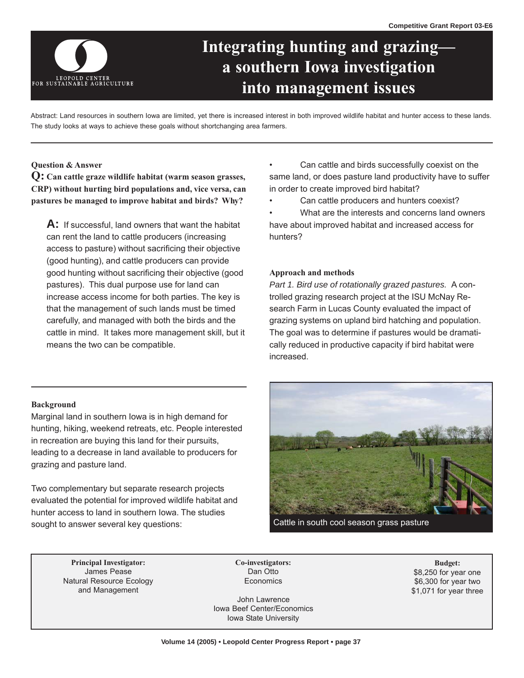

# **Integrating hunting and grazinga southern Iowa investigation into management issues**

Abstract: Land resources in southern Iowa are limited, yet there is increased interest in both improved wildlife habitat and hunter access to these lands. The study looks at ways to achieve these goals without shortchanging area farmers.

#### **Question & Answer**

**Q: Can cattle graze wildlife habitat (warm season grasses, CRP) without hurting bird populations and, vice versa, can pastures be managed to improve habitat and birds? Why?** 

**A:** If successful, land owners that want the habitat can rent the land to cattle producers (increasing access to pasture) without sacrificing their objective (good hunting), and cattle producers can provide good hunting without sacrificing their objective (good pastures). This dual purpose use for land can increase access income for both parties. The key is that the management of such lands must be timed carefully, and managed with both the birds and the cattle in mind. It takes more management skill, but it means the two can be compatible.

- Can cattle and birds successfully coexist on the same land, or does pasture land productivity have to suffer in order to create improved bird habitat?
- Can cattle producers and hunters coexist?
- What are the interests and concerns land owners have about improved habitat and increased access for hunters?

# **Approach and methods**

*Part 1. Bird use of rotationally grazed pastures.* A controlled grazing research project at the ISU McNay Research Farm in Lucas County evaluated the impact of grazing systems on upland bird hatching and population. The goal was to determine if pastures would be dramatically reduced in productive capacity if bird habitat were increased.

#### **Background**

Marginal land in southern Iowa is in high demand for hunting, hiking, weekend retreats, etc. People interested in recreation are buying this land for their pursuits, leading to a decrease in land available to producers for grazing and pasture land.

Two complementary but separate research projects evaluated the potential for improved wildlife habitat and hunter access to land in southern Iowa. The studies sought to answer several key questions:



Cattle in south cool season grass pasture

**Principal Investigator: Co-investigators: Budget:**  James Pease Natural Resource Ecology and Management

Dan Otto **Economics** 

John Lawrence Iowa Beef Center/Economics Iowa State University

\$8,250 for year one \$6,300 for year two \$1,071 for year three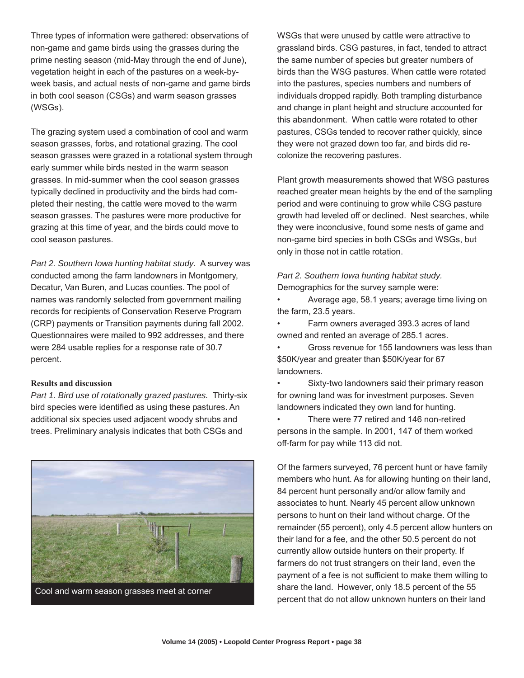Three types of information were gathered: observations of non-game and game birds using the grasses during the prime nesting season (mid-May through the end of June), vegetation height in each of the pastures on a week-byweek basis, and actual nests of non-game and game birds in both cool season (CSGs) and warm season grasses (WSGs).

The grazing system used a combination of cool and warm season grasses, forbs, and rotational grazing. The cool season grasses were grazed in a rotational system through early summer while birds nested in the warm season grasses. In mid-summer when the cool season grasses typically declined in productivity and the birds had completed their nesting, the cattle were moved to the warm season grasses. The pastures were more productive for grazing at this time of year, and the birds could move to cool season pastures.

*Part 2. Southern Iowa hunting habitat study.* A survey was conducted among the farm landowners in Montgomery, Decatur, Van Buren, and Lucas counties. The pool of names was randomly selected from government mailing records for recipients of Conservation Reserve Program (CRP) payments or Transition payments during fall 2002. Questionnaires were mailed to 992 addresses, and there were 284 usable replies for a response rate of 30.7 percent.

# **Results and discussion**

*Part 1. Bird use of rotationally grazed pastures.* Thirty-six bird species were identified as using these pastures. An additional six species used adjacent woody shrubs and trees. Preliminary analysis indicates that both CSGs and



Cool and warm season grasses meet at corner

WSGs that were unused by cattle were attractive to grassland birds. CSG pastures, in fact, tended to attract the same number of species but greater numbers of birds than the WSG pastures. When cattle were rotated into the pastures, species numbers and numbers of individuals dropped rapidly. Both trampling disturbance and change in plant height and structure accounted for this abandonment. When cattle were rotated to other pastures, CSGs tended to recover rather quickly, since they were not grazed down too far, and birds did recolonize the recovering pastures.

Plant growth measurements showed that WSG pastures reached greater mean heights by the end of the sampling period and were continuing to grow while CSG pasture growth had leveled off or declined. Nest searches, while they were inconclusive, found some nests of game and non-game bird species in both CSGs and WSGs, but only in those not in cattle rotation.

*Part 2. Southern Iowa hunting habitat study.*  Demographics for the survey sample were:

• Average age, 58.1 years; average time living on the farm, 23.5 years.

• Farm owners averaged 393.3 acres of land owned and rented an average of 285.1 acres.

• Gross revenue for 155 landowners was less than \$50K/year and greater than \$50K/year for 67 landowners.

Sixty-two landowners said their primary reason for owning land was for investment purposes. Seven landowners indicated they own land for hunting.

• There were 77 retired and 146 non-retired persons in the sample. In 2001, 147 of them worked off-farm for pay while 113 did not.

Of the farmers surveyed, 76 percent hunt or have family members who hunt. As for allowing hunting on their land, 84 percent hunt personally and/or allow family and associates to hunt. Nearly 45 percent allow unknown persons to hunt on their land without charge. Of the remainder (55 percent), only 4.5 percent allow hunters on their land for a fee, and the other 50.5 percent do not currently allow outside hunters on their property. If farmers do not trust strangers on their land, even the payment of a fee is not sufficient to make them willing to share the land. However, only 18.5 percent of the 55 percent that do not allow unknown hunters on their land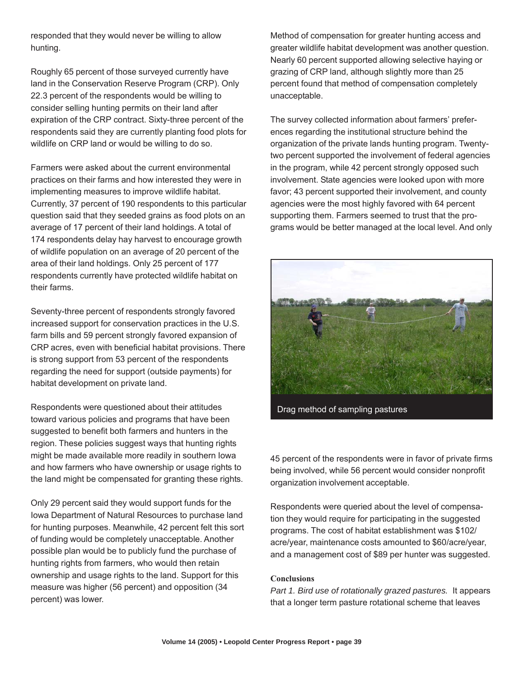responded that they would never be willing to allow hunting.

Roughly 65 percent of those surveyed currently have land in the Conservation Reserve Program (CRP). Only 22.3 percent of the respondents would be willing to consider selling hunting permits on their land after expiration of the CRP contract. Sixty-three percent of the respondents said they are currently planting food plots for wildlife on CRP land or would be willing to do so.

Farmers were asked about the current environmental practices on their farms and how interested they were in implementing measures to improve wildlife habitat. Currently, 37 percent of 190 respondents to this particular question said that they seeded grains as food plots on an average of 17 percent of their land holdings. A total of 174 respondents delay hay harvest to encourage growth of wildlife population on an average of 20 percent of the area of their land holdings. Only 25 percent of 177 respondents currently have protected wildlife habitat on their farms.

Seventy-three percent of respondents strongly favored increased support for conservation practices in the U.S. farm bills and 59 percent strongly favored expansion of CRP acres, even with beneficial habitat provisions. There is strong support from 53 percent of the respondents regarding the need for support (outside payments) for habitat development on private land.

Respondents were questioned about their attitudes toward various policies and programs that have been suggested to benefit both farmers and hunters in the region. These policies suggest ways that hunting rights might be made available more readily in southern Iowa and how farmers who have ownership or usage rights to the land might be compensated for granting these rights.

Only 29 percent said they would support funds for the Iowa Department of Natural Resources to purchase land for hunting purposes. Meanwhile, 42 percent felt this sort of funding would be completely unacceptable. Another possible plan would be to publicly fund the purchase of hunting rights from farmers, who would then retain ownership and usage rights to the land. Support for this measure was higher (56 percent) and opposition (34 percent) was lower.

Method of compensation for greater hunting access and greater wildlife habitat development was another question. Nearly 60 percent supported allowing selective haying or grazing of CRP land, although slightly more than 25 percent found that method of compensation completely unacceptable.

The survey collected information about farmers' preferences regarding the institutional structure behind the organization of the private lands hunting program. Twentytwo percent supported the involvement of federal agencies in the program, while 42 percent strongly opposed such involvement. State agencies were looked upon with more favor; 43 percent supported their involvement, and county agencies were the most highly favored with 64 percent supporting them. Farmers seemed to trust that the programs would be better managed at the local level. And only



Drag method of sampling pastures

45 percent of the respondents were in favor of private firms being involved, while 56 percent would consider nonprofit organization involvement acceptable.

Respondents were queried about the level of compensation they would require for participating in the suggested programs. The cost of habitat establishment was \$102/ acre/year, maintenance costs amounted to \$60/acre/year, and a management cost of \$89 per hunter was suggested.

### **Conclusions**

*Part 1. Bird use of rotationally grazed pastures.* It appears that a longer term pasture rotational scheme that leaves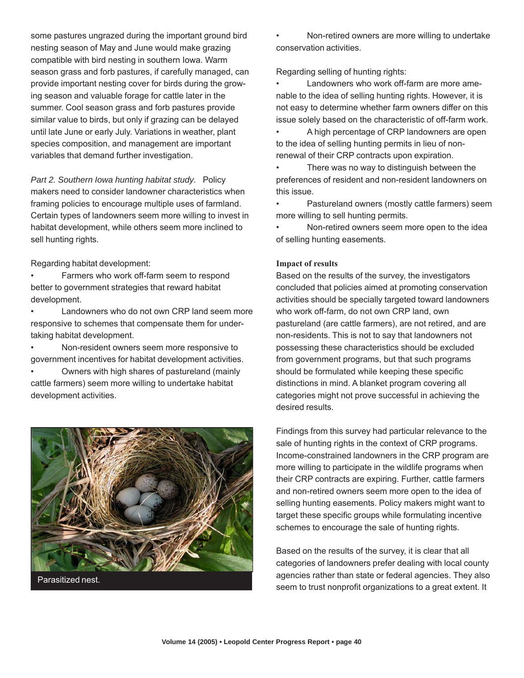some pastures ungrazed during the important ground bird nesting season of May and June would make grazing compatible with bird nesting in southern Iowa. Warm season grass and forb pastures, if carefully managed, can provide important nesting cover for birds during the growing season and valuable forage for cattle later in the summer. Cool season grass and forb pastures provide similar value to birds, but only if grazing can be delayed until late June or early July. Variations in weather, plant species composition, and management are important variables that demand further investigation.

*Part 2. Southern Iowa hunting habitat study.* Policy makers need to consider landowner characteristics when framing policies to encourage multiple uses of farmland. Certain types of landowners seem more willing to invest in habitat development, while others seem more inclined to sell hunting rights.

Regarding habitat development:

- Farmers who work off-farm seem to respond better to government strategies that reward habitat development.
- Landowners who do not own CRP land seem more responsive to schemes that compensate them for undertaking habitat development.
- Non-resident owners seem more responsive to government incentives for habitat development activities.
- Owners with high shares of pastureland (mainly cattle farmers) seem more willing to undertake habitat development activities.



• Non-retired owners are more willing to undertake conservation activities.

Regarding selling of hunting rights:

• Landowners who work off-farm are more amenable to the idea of selling hunting rights. However, it is not easy to determine whether farm owners differ on this issue solely based on the characteristic of off-farm work.

• A high percentage of CRP landowners are open to the idea of selling hunting permits in lieu of nonrenewal of their CRP contracts upon expiration.

• There was no way to distinguish between the preferences of resident and non-resident landowners on this issue.

• Pastureland owners (mostly cattle farmers) seem more willing to sell hunting permits.

• Non-retired owners seem more open to the idea of selling hunting easements.

# **Impact of results**

Based on the results of the survey, the investigators concluded that policies aimed at promoting conservation activities should be specially targeted toward landowners who work off-farm, do not own CRP land, own pastureland (are cattle farmers), are not retired, and are non-residents. This is not to say that landowners not possessing these characteristics should be excluded from government programs, but that such programs should be formulated while keeping these specific distinctions in mind. A blanket program covering all categories might not prove successful in achieving the desired results.

Findings from this survey had particular relevance to the sale of hunting rights in the context of CRP programs. Income-constrained landowners in the CRP program are more willing to participate in the wildlife programs when their CRP contracts are expiring. Further, cattle farmers and non-retired owners seem more open to the idea of selling hunting easements. Policy makers might want to target these specific groups while formulating incentive schemes to encourage the sale of hunting rights.

Based on the results of the survey, it is clear that all categories of landowners prefer dealing with local county agencies rather than state or federal agencies. They also seem to trust nonprofit organizations to a great extent. It